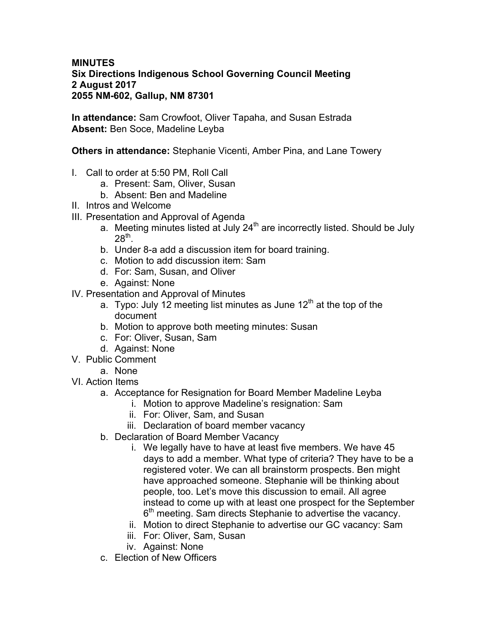## **MINUTES Six Directions Indigenous School Governing Council Meeting 2 August 2017 2055 NM-602, Gallup, NM 87301**

**In attendance:** Sam Crowfoot, Oliver Tapaha, and Susan Estrada **Absent:** Ben Soce, Madeline Leyba

**Others in attendance:** Stephanie Vicenti, Amber Pina, and Lane Towery

- I. Call to order at 5:50 PM, Roll Call
	- a. Present: Sam, Oliver, Susan
	- b. Absent: Ben and Madeline
- II. Intros and Welcome
- III. Presentation and Approval of Agenda
	- a. Meeting minutes listed at July  $24<sup>th</sup>$  are incorrectly listed. Should be July  $28<sup>th</sup>$ .
	- b. Under 8-a add a discussion item for board training.
	- c. Motion to add discussion item: Sam
	- d. For: Sam, Susan, and Oliver
	- e. Against: None
- IV. Presentation and Approval of Minutes
	- a. Typo: July 12 meeting list minutes as June  $12<sup>th</sup>$  at the top of the document
	- b. Motion to approve both meeting minutes: Susan
	- c. For: Oliver, Susan, Sam
	- d. Against: None
- V. Public Comment
	- a. None
- VI. Action Items
	- a. Acceptance for Resignation for Board Member Madeline Leyba
		- i. Motion to approve Madeline's resignation: Sam
			- ii. For: Oliver, Sam, and Susan
		- iii. Declaration of board member vacancy
	- b. Declaration of Board Member Vacancy
		- i. We legally have to have at least five members. We have 45 days to add a member. What type of criteria? They have to be a registered voter. We can all brainstorm prospects. Ben might have approached someone. Stephanie will be thinking about people, too. Let's move this discussion to email. All agree instead to come up with at least one prospect for the September  $6<sup>th</sup>$  meeting. Sam directs Stephanie to advertise the vacancy.
		- ii. Motion to direct Stephanie to advertise our GC vacancy: Sam
		- iii. For: Oliver, Sam, Susan
		- iv. Against: None
	- c. Election of New Officers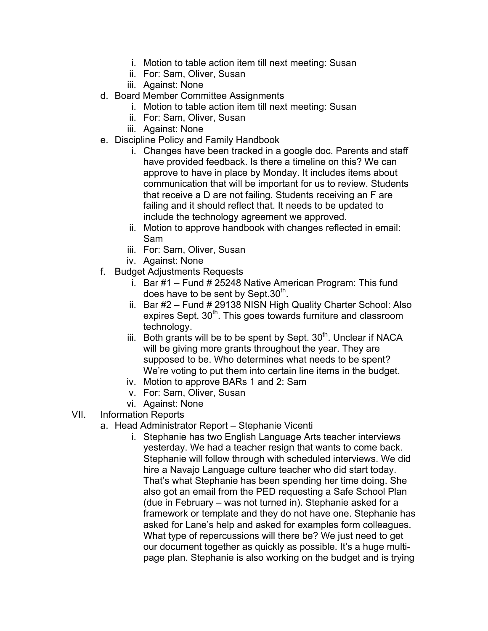- i. Motion to table action item till next meeting: Susan
- ii. For: Sam, Oliver, Susan
- iii. Against: None
- d. Board Member Committee Assignments
	- i. Motion to table action item till next meeting: Susan
	- ii. For: Sam, Oliver, Susan
	- iii. Against: None
- e. Discipline Policy and Family Handbook
	- i. Changes have been tracked in a google doc. Parents and staff have provided feedback. Is there a timeline on this? We can approve to have in place by Monday. It includes items about communication that will be important for us to review. Students that receive a D are not failing. Students receiving an F are failing and it should reflect that. It needs to be updated to include the technology agreement we approved.
	- ii. Motion to approve handbook with changes reflected in email: Sam
	- iii. For: Sam, Oliver, Susan
	- iv. Against: None
- f. Budget Adjustments Requests
	- i. Bar  $#1$  Fund  $#25248$  Native American Program: This fund does have to be sent by Sept.30 $<sup>th</sup>$ .</sup>
	- ii. Bar #2 Fund # 29138 NISN High Quality Charter School: Also expires Sept. 30<sup>th</sup>. This goes towards furniture and classroom technology.
	- iii. Both grants will be to be spent by Sept.  $30<sup>th</sup>$ . Unclear if NACA will be giving more grants throughout the year. They are supposed to be. Who determines what needs to be spent? We're voting to put them into certain line items in the budget.
	- iv. Motion to approve BARs 1 and 2: Sam
	- v. For: Sam, Oliver, Susan
	- vi. Against: None
- VII. Information Reports
	- a. Head Administrator Report Stephanie Vicenti
		- i. Stephanie has two English Language Arts teacher interviews yesterday. We had a teacher resign that wants to come back. Stephanie will follow through with scheduled interviews. We did hire a Navajo Language culture teacher who did start today. That's what Stephanie has been spending her time doing. She also got an email from the PED requesting a Safe School Plan (due in February – was not turned in). Stephanie asked for a framework or template and they do not have one. Stephanie has asked for Lane's help and asked for examples form colleagues. What type of repercussions will there be? We just need to get our document together as quickly as possible. It's a huge multipage plan. Stephanie is also working on the budget and is trying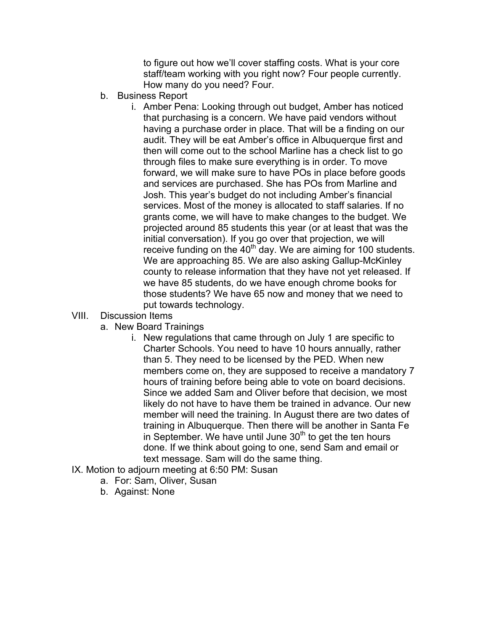to figure out how we'll cover staffing costs. What is your core staff/team working with you right now? Four people currently. How many do you need? Four.

- b. Business Report
	- i. Amber Pena: Looking through out budget, Amber has noticed that purchasing is a concern. We have paid vendors without having a purchase order in place. That will be a finding on our audit. They will be eat Amber's office in Albuquerque first and then will come out to the school Marline has a check list to go through files to make sure everything is in order. To move forward, we will make sure to have POs in place before goods and services are purchased. She has POs from Marline and Josh. This year's budget do not including Amber's financial services. Most of the money is allocated to staff salaries. If no grants come, we will have to make changes to the budget. We projected around 85 students this year (or at least that was the initial conversation). If you go over that projection, we will receive funding on the  $40<sup>th</sup>$  day. We are aiming for 100 students. We are approaching 85. We are also asking Gallup-McKinley county to release information that they have not yet released. If we have 85 students, do we have enough chrome books for those students? We have 65 now and money that we need to put towards technology.
- VIII. Discussion Items
	- a. New Board Trainings
		- i. New regulations that came through on July 1 are specific to Charter Schools. You need to have 10 hours annually, rather than 5. They need to be licensed by the PED. When new members come on, they are supposed to receive a mandatory 7 hours of training before being able to vote on board decisions. Since we added Sam and Oliver before that decision, we most likely do not have to have them be trained in advance. Our new member will need the training. In August there are two dates of training in Albuquerque. Then there will be another in Santa Fe in September. We have until June  $30<sup>th</sup>$  to get the ten hours done. If we think about going to one, send Sam and email or text message. Sam will do the same thing.
- IX. Motion to adjourn meeting at 6:50 PM: Susan
	- a. For: Sam, Oliver, Susan
	- b. Against: None